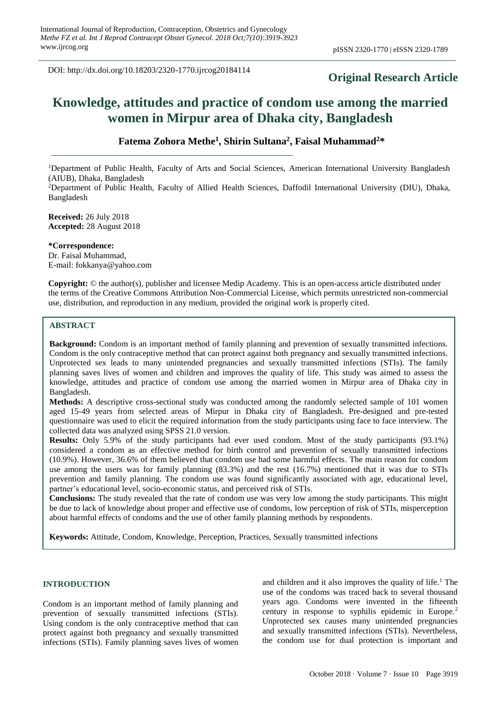DOI: http://dx.doi.org/10.18203/2320-1770.ijrcog20184114

# **Original Research Article**

# **Knowledge, attitudes and practice of condom use among the married women in Mirpur area of Dhaka city, Bangladesh**

## **Fatema Zohora Methe<sup>1</sup> , Shirin Sultana<sup>2</sup> , Faisal Muhammad<sup>2</sup>\***

<sup>1</sup>Department of Public Health, Faculty of Arts and Social Sciences, American International University Bangladesh (AIUB), Dhaka, Bangladesh <sup>2</sup>Department of Public Health, Faculty of Allied Health Sciences, Daffodil International University (DIU), Dhaka,

**Received:** 26 July 2018 **Accepted:** 28 August 2018

**\*Correspondence:** Dr. Faisal Muhammad, E-mail: fokkanya@yahoo.com

**Copyright:** © the author(s), publisher and licensee Medip Academy. This is an open-access article distributed under the terms of the Creative Commons Attribution Non-Commercial License, which permits unrestricted non-commercial use, distribution, and reproduction in any medium, provided the original work is properly cited.

### **ABSTRACT**

Bangladesh

**Background:** Condom is an important method of family planning and prevention of sexually transmitted infections. Condom is the only contraceptive method that can protect against both pregnancy and sexually transmitted infections. Unprotected sex leads to many unintended pregnancies and sexually transmitted infections (STIs). The family planning saves lives of women and children and improves the quality of life. This study was aimed to assess the knowledge, attitudes and practice of condom use among the married women in Mirpur area of Dhaka city in Bangladesh.

**Methods:** A descriptive cross-sectional study was conducted among the randomly selected sample of 101 women aged 15-49 years from selected areas of Mirpur in Dhaka city of Bangladesh. Pre-designed and pre-tested questionnaire was used to elicit the required information from the study participants using face to face interview. The collected data was analyzed using SPSS 21.0 version.

**Results:** Only 5.9% of the study participants had ever used condom. Most of the study participants (93.1%) considered a condom as an effective method for birth control and prevention of sexually transmitted infections (10.9%). However, 36.6% of them believed that condom use had some harmful effects. The main reason for condom use among the users was for family planning (83.3%) and the rest (16.7%) mentioned that it was due to STIs prevention and family planning. The condom use was found significantly associated with age, educational level, partner's educational level, socio-economic status, and perceived risk of STIs.

**Conclusions:** The study revealed that the rate of condom use was very low among the study participants. This might be due to lack of knowledge about proper and effective use of condoms, low perception of risk of STIs, misperception about harmful effects of condoms and the use of other family planning methods by respondents.

**Keywords:** Attitude, Condom, Knowledge, Perception, Practices, Sexually transmitted infections

## **INTRODUCTION**

Condom is an important method of family planning and prevention of sexually transmitted infections (STIs). Using condom is the only contraceptive method that can protect against both pregnancy and sexually transmitted infections (STIs). Family planning saves lives of women and children and it also improves the quality of life.<sup>1</sup> The use of the condoms was traced back to several thousand years ago. Condoms were invented in the fifteenth century in response to syphilis epidemic in Europe.<sup>2</sup> Unprotected sex causes many unintended pregnancies and sexually transmitted infections (STIs). Nevertheless, the condom use for dual protection is important and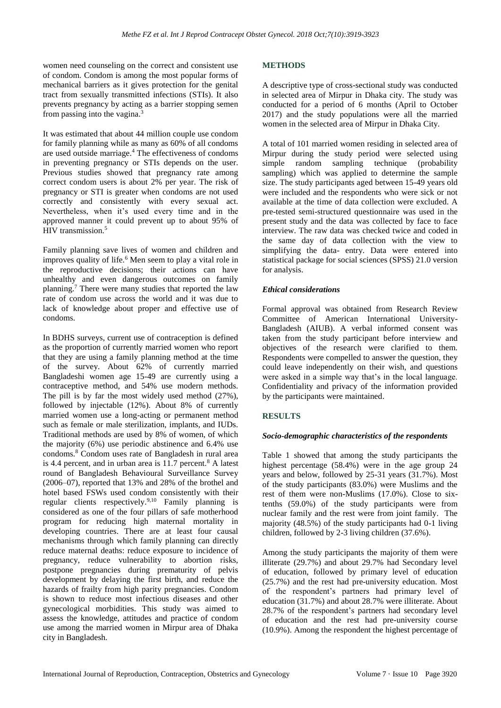women need counseling on the correct and consistent use of condom. Condom is among the most popular forms of mechanical barriers as it gives protection for the genital tract from sexually transmitted infections (STIs). It also prevents pregnancy by acting as a barrier stopping semen from passing into the vagina.<sup>3</sup>

It was estimated that about 44 million couple use condom for family planning while as many as 60% of all condoms are used outside marriage.<sup>4</sup> The effectiveness of condoms in preventing pregnancy or STIs depends on the user. Previous studies showed that pregnancy rate among correct condom users is about 2% per year. The risk of pregnancy or STI is greater when condoms are not used correctly and consistently with every sexual act. Nevertheless, when it's used every time and in the approved manner it could prevent up to about 95% of HIV transmission.<sup>5</sup>

Family planning save lives of women and children and improves quality of life.<sup>6</sup> Men seem to play a vital role in the reproductive decisions; their actions can have unhealthy and even dangerous outcomes on family planning.<sup>7</sup> There were many studies that reported the law rate of condom use across the world and it was due to lack of knowledge about proper and effective use of condoms.

In BDHS surveys, current use of contraception is defined as the proportion of currently married women who report that they are using a family planning method at the time of the survey. About 62% of currently married Bangladeshi women age 15-49 are currently using a contraceptive method, and 54% use modern methods. The pill is by far the most widely used method (27%), followed by injectable (12%). About 8% of currently married women use a long-acting or permanent method such as female or male sterilization, implants, and IUDs. Traditional methods are used by 8% of women, of which the majority (6%) use periodic abstinence and 6.4% use condoms.<sup>8</sup> Condom uses rate of Bangladesh in rural area is 4.4 percent, and in urban area is  $11.7$  percent.<sup>8</sup> A latest round of Bangladesh Behavioural Surveillance Survey (2006–07), reported that 13% and 28% of the brothel and hotel based FSWs used condom consistently with their regular clients respectively.9,10 Family planning is considered as one of the four pillars of safe motherhood program for reducing high maternal mortality in developing countries. There are at least four causal mechanisms through which family planning can directly reduce maternal deaths: reduce exposure to incidence of pregnancy, reduce vulnerability to abortion risks, postpone pregnancies during prematurity of pelvis development by delaying the first birth, and reduce the hazards of frailty from high parity pregnancies. Condom is shown to reduce most infectious diseases and other gynecological morbidities. This study was aimed to assess the knowledge, attitudes and practice of condom use among the married women in Mirpur area of Dhaka city in Bangladesh.

## **METHODS**

A descriptive type of cross-sectional study was conducted in selected area of Mirpur in Dhaka city. The study was conducted for a period of 6 months (April to October 2017) and the study populations were all the married women in the selected area of Mirpur in Dhaka City.

A total of 101 married women residing in selected area of Mirpur during the study period were selected using simple random sampling technique (probability sampling) which was applied to determine the sample size. The study participants aged between 15-49 years old were included and the respondents who were sick or not available at the time of data collection were excluded. A pre-tested semi-structured questionnaire was used in the present study and the data was collected by face to face interview. The raw data was checked twice and coded in the same day of data collection with the view to simplifying the data- entry. Data were entered into statistical package for social sciences (SPSS) 21.0 version for analysis.

## *Ethical considerations*

Formal approval was obtained from Research Review Committee of American International University-Bangladesh (AIUB). A verbal informed consent was taken from the study participant before interview and objectives of the research were clarified to them. Respondents were compelled to answer the question, they could leave independently on their wish, and questions were asked in a simple way that's in the local language. Confidentiality and privacy of the information provided by the participants were maintained.

## **RESULTS**

## *Socio-demographic characteristics of the respondents*

Table 1 showed that among the study participants the highest percentage (58.4%) were in the age group 24 years and below, followed by 25-31 years (31.7%). Most of the study participants (83.0%) were Muslims and the rest of them were non-Muslims (17.0%). Close to sixtenths (59.0%) of the study participants were from nuclear family and the rest were from joint family. The majority (48.5%) of the study participants had 0-1 living children, followed by 2-3 living children (37.6%).

Among the study participants the majority of them were illiterate (29.7%) and about 29.7% had Secondary level of education, followed by primary level of education (25.7%) and the rest had pre-university education. Most of the respondent's partners had primary level of education (31.7%) and about 28.7% were illiterate. About 28.7% of the respondent's partners had secondary level of education and the rest had pre-university course (10.9%). Among the respondent the highest percentage of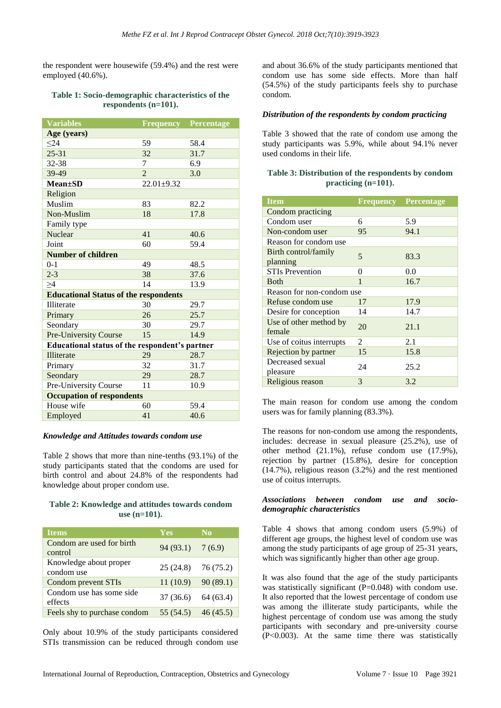the respondent were housewife (59.4%) and the rest were employed (40.6%).

#### **Table 1: Socio-demographic characteristics of the respondents (n=101).**

| <b>Variables</b>                               |                | <b>Frequency Percentage</b> |  |  |  |  |
|------------------------------------------------|----------------|-----------------------------|--|--|--|--|
| Age (years)                                    |                |                             |  |  |  |  |
| $24$                                           | 59             | 58.4                        |  |  |  |  |
| $25 - 31$                                      | 32             | 31.7                        |  |  |  |  |
| 32-38                                          | 7              | 6.9                         |  |  |  |  |
| 39-49                                          | $\overline{2}$ | 3.0                         |  |  |  |  |
| $Mean \pm SD$                                  | $22.01 + 9.32$ |                             |  |  |  |  |
| Religion                                       |                |                             |  |  |  |  |
| Muslim                                         | 83             | 82.2                        |  |  |  |  |
| Non-Muslim                                     | 18             | 17.8                        |  |  |  |  |
| Family type                                    |                |                             |  |  |  |  |
| Nuclear                                        | 41             | 40.6                        |  |  |  |  |
| Joint                                          | 60             | 59.4                        |  |  |  |  |
| <b>Number of children</b>                      |                |                             |  |  |  |  |
| $0 - 1$                                        | 49             | 48.5                        |  |  |  |  |
| $2 - 3$                                        | 38             | 37.6                        |  |  |  |  |
| >4                                             | 14             | 13.9                        |  |  |  |  |
| <b>Educational Status of the respondents</b>   |                |                             |  |  |  |  |
| Illiterate                                     | 30             | 29.7                        |  |  |  |  |
| Primary                                        | 26             | 25.7                        |  |  |  |  |
| Seondary                                       | 30             | 29.7                        |  |  |  |  |
| Pre-University Course                          | 15             | 14.9                        |  |  |  |  |
| Educational status of the respondent's partner |                |                             |  |  |  |  |
| <b>Illiterate</b>                              | 29             | 28.7                        |  |  |  |  |
| Primary                                        | 32             | 31.7                        |  |  |  |  |
| Seondary                                       | 29             | 28.7                        |  |  |  |  |
| Pre-University Course                          | 11             | 10.9                        |  |  |  |  |
| <b>Occupation of respondents</b>               |                |                             |  |  |  |  |
| House wife                                     | 60             | 59.4                        |  |  |  |  |
| Employed                                       | 41             | 40.6                        |  |  |  |  |

#### *Knowledge and Attitudes towards condom use*

Table 2 shows that more than nine-tenths (93.1%) of the study participants stated that the condoms are used for birth control and about 24.8% of the respondents had knowledge about proper condom use.

#### **Table 2: Knowledge and attitudes towards condom use (n=101).**

| <b>Items</b>                         | Yes.                 | $\overline{N}$ |
|--------------------------------------|----------------------|----------------|
| Condom are used for birth<br>control | 94(93.1)             | 7(6.9)         |
| Knowledge about proper<br>condom use | $25(24.8)$ 76 (75.2) |                |
| <b>Condom prevent STIs</b>           | 11(10.9)             | 90(89.1)       |
| Condom use has some side<br>effects  | 37(36.6)             | 64(63.4)       |
| Feels shy to purchase condom         | 55 (54.5)            | 46(45.5)       |

Only about 10.9% of the study participants considered STIs transmission can be reduced through condom use

and about 36.6% of the study participants mentioned that condom use has some side effects. More than half (54.5%) of the study participants feels shy to purchase condom.

#### *Distribution of the respondents by condom practicing*

Table 3 showed that the rate of condom use among the study participants was 5.9%, while about 94.1% never used condoms in their life.

## **Table 3: Distribution of the respondents by condom practicing (n=101).**

| <b>Item</b>                      | <b>Frequency</b> | <b>Percentage</b> |  |  |  |  |
|----------------------------------|------------------|-------------------|--|--|--|--|
| Condom practicing                |                  |                   |  |  |  |  |
| Condom user                      | 6                | 5.9               |  |  |  |  |
| Non-condom user                  | 95               | 94.1              |  |  |  |  |
| Reason for condom use            |                  |                   |  |  |  |  |
| Birth control/family<br>planning | 5                | 83.3              |  |  |  |  |
| <b>STIs Prevention</b>           | 0                | 0.0               |  |  |  |  |
| <b>B</b> oth                     | 1                | 16.7              |  |  |  |  |
| Reason for non-condom use        |                  |                   |  |  |  |  |
| Refuse condom use                | 17               | 17.9              |  |  |  |  |
| Desire for conception            | 14               | 14.7              |  |  |  |  |
| Use of other method by<br>female | 20               | 21.1              |  |  |  |  |
| Use of coitus interrupts         | $\mathcal{L}$    | 2.1               |  |  |  |  |
| Rejection by partner             | 15               | 15.8              |  |  |  |  |
| Decreased sexual<br>pleasure     | 24               | 25.2              |  |  |  |  |
| Religious reason                 | 3                | 3.2               |  |  |  |  |

The main reason for condom use among the condom users was for family planning (83.3%).

The reasons for non-condom use among the respondents, includes: decrease in sexual pleasure (25.2%), use of other method (21.1%), refuse condom use (17.9%), rejection by partner (15.8%), desire for conception (14.7%), religious reason (3.2%) and the rest mentioned use of coitus interrupts.

#### *Associations between condom use and sociodemographic characteristics*

Table 4 shows that among condom users (5.9%) of different age groups, the highest level of condom use was among the study participants of age group of 25-31 years, which was significantly higher than other age group.

It was also found that the age of the study participants was statistically significant (P=0.048) with condom use. It also reported that the lowest percentage of condom use was among the illiterate study participants, while the highest percentage of condom use was among the study participants with secondary and pre-university course (P<0.003). At the same time there was statistically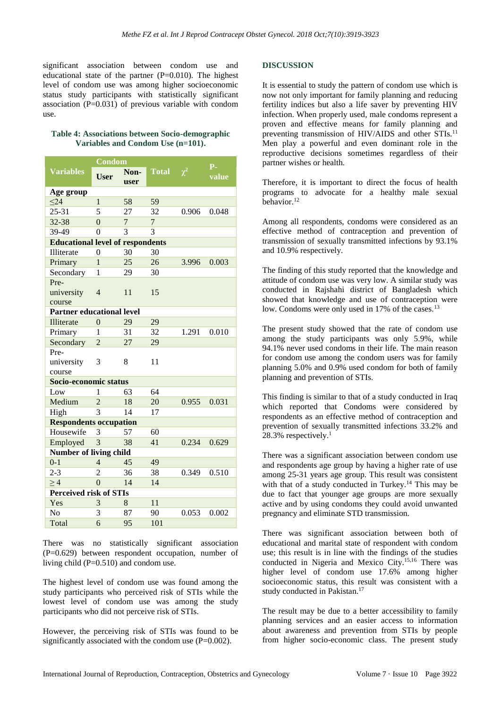significant association between condom use and educational state of the partner  $(P=0.010)$ . The highest level of condom use was among higher socioeconomic status study participants with statistically significant association  $(P=0.031)$  of previous variable with condom use.

## **Table 4: Associations between Socio-demographic Variables and Condom Use (n=101).**

|                                         | $\overline{\text{Condom}}$ |                |                |          | $P -$ |  |  |  |
|-----------------------------------------|----------------------------|----------------|----------------|----------|-------|--|--|--|
| <b>Variables</b>                        | <b>User</b>                | Non-<br>user   | <b>Total</b>   | $\chi^2$ | value |  |  |  |
| Age group                               |                            |                |                |          |       |  |  |  |
| $\leq$ 24                               | $\mathbf{1}$               | 58             | 59             |          |       |  |  |  |
| $25 - 31$                               | 5                          | 27             | 32             | 0.906    | 0.048 |  |  |  |
| 32-38                                   | $\overline{0}$             | $\overline{7}$ | $\overline{7}$ |          |       |  |  |  |
| 39-49                                   | $\theta$                   | 3              | 3              |          |       |  |  |  |
| <b>Educational level of respondents</b> |                            |                |                |          |       |  |  |  |
| Illiterate                              | $\overline{0}$             | 30             | 30             |          |       |  |  |  |
| Primary                                 | $\mathbf{1}$               | 25             | 26             | 3.996    | 0.003 |  |  |  |
| Secondary                               | 1                          | 29             | 30             |          |       |  |  |  |
| Pre-                                    |                            |                |                |          |       |  |  |  |
| university                              | $\overline{4}$             | 11             | 15             |          |       |  |  |  |
| course                                  |                            |                |                |          |       |  |  |  |
| <b>Partner educational level</b>        |                            |                |                |          |       |  |  |  |
| Illiterate                              | $\Omega$                   | 29             | 29             |          |       |  |  |  |
| Primary                                 | 1                          | 31             | 32             | 1.291    | 0.010 |  |  |  |
| Secondary                               | $\overline{2}$             | 27             | 29             |          |       |  |  |  |
| Pre-                                    |                            |                |                |          |       |  |  |  |
| university                              | 3                          | 8              | 11             |          |       |  |  |  |
| course                                  |                            |                |                |          |       |  |  |  |
| Socio-economic status                   |                            |                |                |          |       |  |  |  |
| Low                                     | 1                          | 63             | 64             |          |       |  |  |  |
| Medium                                  | $\overline{2}$             | 18             | 20             | 0.955    | 0.031 |  |  |  |
| High                                    | $\overline{3}$             | 14             | 17             |          |       |  |  |  |
| <b>Respondents occupation</b>           |                            |                |                |          |       |  |  |  |
| Housewife                               | 3                          | 57             | 60             |          |       |  |  |  |
| Employed                                | 3                          | 38             | 41             | 0.234    | 0.629 |  |  |  |
| <b>Number of living child</b>           |                            |                |                |          |       |  |  |  |
| $0 - 1$                                 | $\overline{4}$             | 45             | 49             |          |       |  |  |  |
| $2 - 3$                                 | $\overline{2}$             | 36             | 38             | 0.349    | 0.510 |  |  |  |
| $\geq 4$                                | $\overline{0}$             | 14             | 14             |          |       |  |  |  |
| <b>Perceived risk of STIs</b>           |                            |                |                |          |       |  |  |  |
| Yes                                     | 3                          | 8              | 11             |          |       |  |  |  |
| N <sub>0</sub>                          | 3                          | 87             | 90             | 0.053    | 0.002 |  |  |  |
| Total                                   | 6                          | 95             | 101            |          |       |  |  |  |

There was no statistically significant association (P=0.629) between respondent occupation, number of living child (P=0.510) and condom use.

The highest level of condom use was found among the study participants who perceived risk of STIs while the lowest level of condom use was among the study participants who did not perceive risk of STIs.

However, the perceiving risk of STIs was found to be significantly associated with the condom use (P=0.002).

## **DISCUSSION**

It is essential to study the pattern of condom use which is now not only important for family planning and reducing fertility indices but also a life saver by preventing HIV infection. When properly used, male condoms represent a proven and effective means for family planning and preventing transmission of HIV/AIDS and other STIs.<sup>11</sup> Men play a powerful and even dominant role in the reproductive decisions sometimes regardless of their partner wishes or health.

Therefore, it is important to direct the focus of health programs to advocate for a healthy male sexual behavior.<sup>12</sup>

Among all respondents, condoms were considered as an effective method of contraception and prevention of transmission of sexually transmitted infections by 93.1% and 10.9% respectively.

The finding of this study reported that the knowledge and attitude of condom use was very low. A similar study was conducted in Rajshahi district of Bangladesh which showed that knowledge and use of contraception were low. Condoms were only used in 17% of the cases.<sup>13</sup>

The present study showed that the rate of condom use among the study participants was only 5.9%, while 94.1% never used condoms in their life. The main reason for condom use among the condom users was for family planning 5.0% and 0.9% used condom for both of family planning and prevention of STIs.

This finding is similar to that of a study conducted in Iraq which reported that Condoms were considered by respondents as an effective method of contraception and prevention of sexually transmitted infections 33.2% and 28.3% respectively.<sup>1</sup>

There was a significant association between condom use and respondents age group by having a higher rate of use among 25-31 years age group. This result was consistent with that of a study conducted in Turkey.<sup>14</sup> This may be due to fact that younger age groups are more sexually active and by using condoms they could avoid unwanted pregnancy and eliminate STD transmission.

There was significant association between both of educational and marital state of respondent with condom use; this result is in line with the findings of the studies conducted in Nigeria and Mexico City.15,16 There was higher level of condom use 17.6% among higher socioeconomic status, this result was consistent with a study conducted in Pakistan. 17

The result may be due to a better accessibility to family planning services and an easier access to information about awareness and prevention from STIs by people from higher socio-economic class. The present study